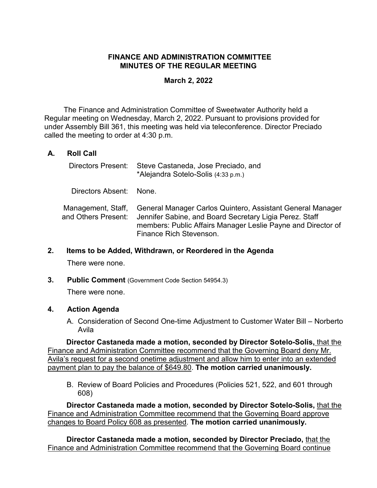# **FINANCE AND ADMINISTRATION COMMITTEE MINUTES OF THE REGULAR MEETING**

# **March 2, 2022**

The Finance and Administration Committee of Sweetwater Authority held a Regular meeting on Wednesday, March 2, 2022. Pursuant to provisions provided for under Assembly Bill 361, this meeting was held via teleconference. Director Preciado called the meeting to order at 4:30 p.m.

# **A. Roll Call**

| Directors Present:                        | Steve Castaneda, Jose Preciado, and<br>*Alejandra Sotelo-Solis (4:33 p.m.)                                                                                                                                       |
|-------------------------------------------|------------------------------------------------------------------------------------------------------------------------------------------------------------------------------------------------------------------|
| Directors Absent: None.                   |                                                                                                                                                                                                                  |
| Management, Staff,<br>and Others Present: | General Manager Carlos Quintero, Assistant General Manager<br>Jennifer Sabine, and Board Secretary Ligia Perez. Staff<br>members: Public Affairs Manager Leslie Payne and Director of<br>Finance Rich Stevenson. |

**2. Items to be Added, Withdrawn, or Reordered in the Agenda**

There were none.

**3. Public Comment** (Government Code Section 54954.3)

There were none.

## **4. Action Agenda**

A. Consideration of Second One-time Adjustment to Customer Water Bill – Norberto Avila

**Director Castaneda made a motion, seconded by Director Sotelo-Solis,** that the Finance and Administration Committee recommend that the Governing Board deny Mr. Avila's request for a second onetime adjustment and allow him to enter into an extended payment plan to pay the balance of \$649.80. **The motion carried unanimously.**

B. Review of Board Policies and Procedures (Policies 521, 522, and 601 through 608)

**Director Castaneda made a motion, seconded by Director Sotelo-Solis,** that the Finance and Administration Committee recommend that the Governing Board approve changes to Board Policy 608 as presented. **The motion carried unanimously.**

**Director Castaneda made a motion, seconded by Director Preciado,** that the Finance and Administration Committee recommend that the Governing Board continue